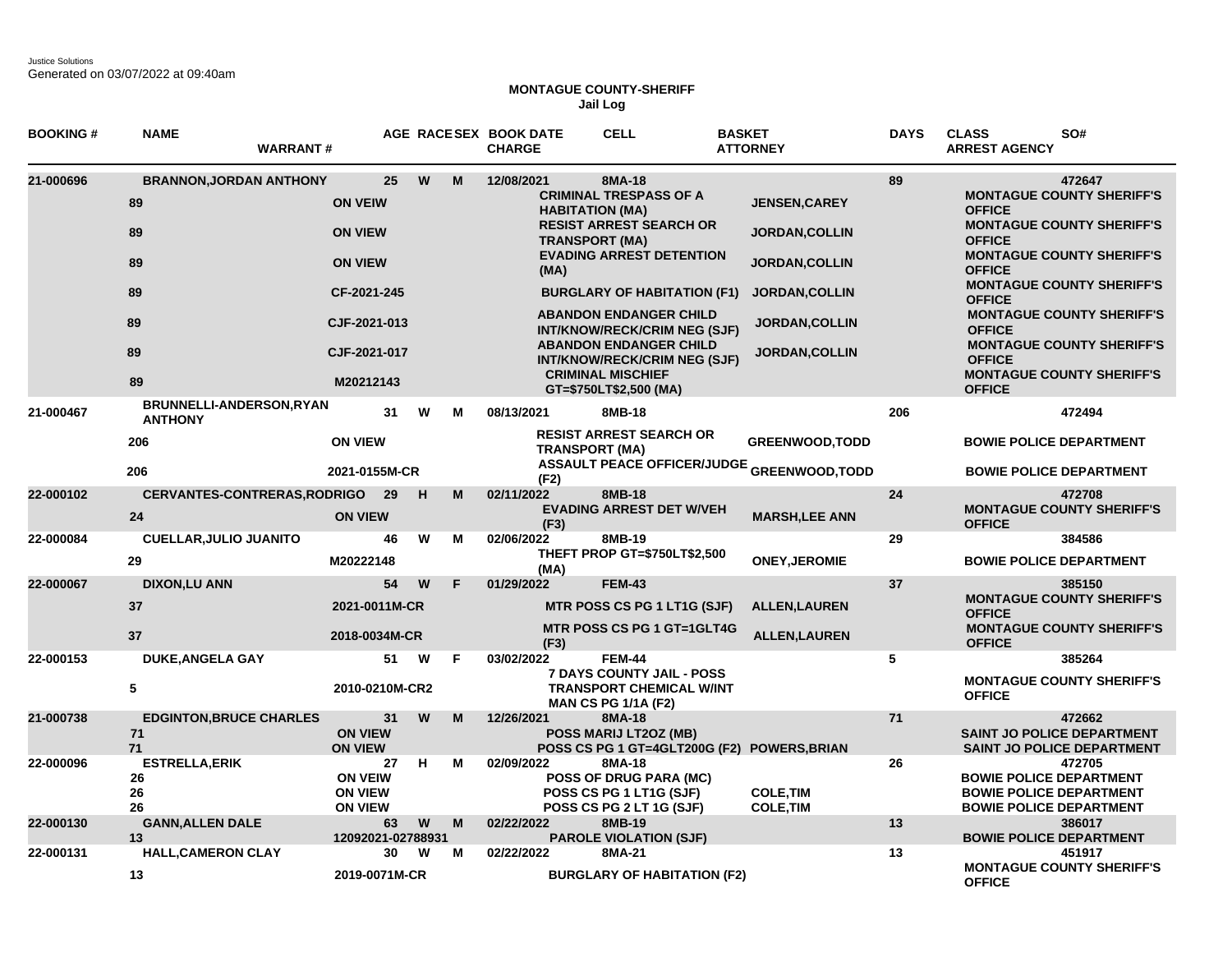Justice Solutions Generated on 03/07/2022 at 09:40am

## **MONTAGUE COUNTY-SHERIFF Jail Log**

| <b>BOOKING#</b> | <b>NAME</b>                                | <b>WARRANT#</b>                                    |    |   |   | AGE RACESEX BOOK DATE<br><b>CHARGE</b> | <b>CELL</b>                                                                                       | <b>BASKET</b><br><b>ATTORNEY</b>                  | <b>DAYS</b> | <b>CLASS</b><br>SO#<br><b>ARREST AGENCY</b>                                                                  |
|-----------------|--------------------------------------------|----------------------------------------------------|----|---|---|----------------------------------------|---------------------------------------------------------------------------------------------------|---------------------------------------------------|-------------|--------------------------------------------------------------------------------------------------------------|
| 21-000696       | <b>BRANNON, JORDAN ANTHONY</b>             |                                                    | 25 | W | M | 12/08/2021                             | 8MA-18                                                                                            |                                                   | 89          | 472647                                                                                                       |
|                 | 89                                         | <b>ON VEIW</b>                                     |    |   |   |                                        | <b>CRIMINAL TRESPASS OF A</b><br><b>HABITATION (MA)</b>                                           | <b>JENSEN, CAREY</b>                              |             | <b>MONTAGUE COUNTY SHERIFF'S</b><br><b>OFFICE</b>                                                            |
|                 | 89                                         | <b>ON VIEW</b>                                     |    |   |   |                                        | <b>RESIST ARREST SEARCH OR</b><br><b>TRANSPORT (MA)</b>                                           | <b>JORDAN, COLLIN</b>                             |             | <b>MONTAGUE COUNTY SHERIFF'S</b><br><b>OFFICE</b>                                                            |
|                 | 89                                         | <b>ON VIEW</b>                                     |    |   |   | (MA)                                   | <b>EVADING ARREST DETENTION</b>                                                                   | <b>JORDAN, COLLIN</b>                             |             | <b>MONTAGUE COUNTY SHERIFF'S</b><br><b>OFFICE</b>                                                            |
|                 | 89                                         | CF-2021-245                                        |    |   |   |                                        | <b>BURGLARY OF HABITATION (F1)</b>                                                                | <b>JORDAN, COLLIN</b>                             |             | <b>MONTAGUE COUNTY SHERIFF'S</b><br><b>OFFICE</b>                                                            |
|                 | 89                                         | CJF-2021-013                                       |    |   |   |                                        | <b>ABANDON ENDANGER CHILD</b><br><b>INT/KNOW/RECK/CRIM NEG (SJF)</b>                              | <b>JORDAN,COLLIN</b>                              |             | <b>MONTAGUE COUNTY SHERIFF'S</b><br><b>OFFICE</b>                                                            |
|                 | 89<br>89                                   | CJF-2021-017                                       |    |   |   |                                        | <b>ABANDON ENDANGER CHILD</b><br><b>INT/KNOW/RECK/CRIM NEG (SJF)</b><br><b>CRIMINAL MISCHIEF</b>  | <b>JORDAN,COLLIN</b>                              |             | <b>MONTAGUE COUNTY SHERIFF'S</b><br><b>OFFICE</b><br><b>MONTAGUE COUNTY SHERIFF'S</b>                        |
|                 |                                            | M20212143                                          |    |   |   |                                        | GT=\$750LT\$2,500 (MA)                                                                            |                                                   |             | <b>OFFICE</b>                                                                                                |
| 21-000467       | BRUNNELLI-ANDERSON, RYAN<br><b>ANTHONY</b> |                                                    | 31 | W | М | 08/13/2021                             | 8MB-18                                                                                            |                                                   | 206         | 472494                                                                                                       |
|                 | 206                                        | <b>ON VIEW</b>                                     |    |   |   | <b>TRANSPORT (MA)</b>                  | <b>RESIST ARREST SEARCH OR</b>                                                                    | <b>GREENWOOD, TODD</b>                            |             | <b>BOWIE POLICE DEPARTMENT</b>                                                                               |
|                 | 206                                        | 2021-0155M-CR                                      |    |   |   | (F2)                                   |                                                                                                   | <b>ASSAULT PEACE OFFICER/JUDGE GREENWOOD,TODD</b> |             | <b>BOWIE POLICE DEPARTMENT</b>                                                                               |
| 22-000102       |                                            | <b>CERVANTES-CONTRERAS, RODRIGO</b>                | 29 | H | м | 02/11/2022                             | 8MB-18                                                                                            |                                                   | 24          | 472708                                                                                                       |
|                 | 24                                         | <b>ON VIEW</b>                                     |    |   |   | (F3)                                   | <b>EVADING ARREST DET W/VEH</b>                                                                   | <b>MARSH, LEE ANN</b>                             |             | <b>MONTAGUE COUNTY SHERIFF'S</b><br><b>OFFICE</b>                                                            |
| 22-000084       | <b>CUELLAR, JULIO JUANITO</b>              |                                                    | 46 | W | M | 02/06/2022                             | 8MB-19                                                                                            |                                                   | 29          | 384586                                                                                                       |
|                 | 29                                         | M20222148                                          |    |   |   | (MA)                                   | THEFT PROP GT=\$750LT\$2,500                                                                      | <b>ONEY, JEROMIE</b>                              |             | <b>BOWIE POLICE DEPARTMENT</b>                                                                               |
| 22-000067       | <b>DIXON,LU ANN</b>                        |                                                    | 54 | W | F | 01/29/2022                             | <b>FEM-43</b>                                                                                     |                                                   | 37          | 385150                                                                                                       |
|                 | 37                                         | 2021-0011M-CR                                      |    |   |   |                                        | MTR POSS CS PG 1 LT1G (SJF)                                                                       | <b>ALLEN, LAUREN</b>                              |             | <b>MONTAGUE COUNTY SHERIFF'S</b><br><b>OFFICE</b>                                                            |
|                 | 37                                         | 2018-0034M-CR                                      |    |   |   | (F3)                                   | MTR POSS CS PG 1 GT=1GLT4G                                                                        | <b>ALLEN, LAUREN</b>                              |             | <b>MONTAGUE COUNTY SHERIFF'S</b><br><b>OFFICE</b>                                                            |
| 22-000153       | <b>DUKE, ANGELA GAY</b>                    |                                                    | 51 | W | F | 03/02/2022                             | <b>FEM-44</b>                                                                                     |                                                   | 5           | 385264                                                                                                       |
|                 | 5                                          | 2010-0210M-CR2                                     |    |   |   |                                        | <b>7 DAYS COUNTY JAIL - POSS</b><br><b>TRANSPORT CHEMICAL W/INT</b><br><b>MAN CS PG 1/1A (F2)</b> |                                                   |             | <b>MONTAGUE COUNTY SHERIFF'S</b><br><b>OFFICE</b>                                                            |
| 21-000738       | <b>EDGINTON, BRUCE CHARLES</b><br>71<br>71 | <b>ON VIEW</b><br><b>ON VIEW</b>                   | 31 | W | M | 12/26/2021                             | 8MA-18<br>POSS MARIJ LT2OZ (MB)                                                                   | POSS CS PG 1 GT=4GLT200G (F2) POWERS, BRIAN       | 71          | 472662<br><b>SAINT JO POLICE DEPARTMENT</b><br><b>SAINT JO POLICE DEPARTMENT</b>                             |
| 22-000096       | <b>ESTRELLA, ERIK</b><br>26<br>26<br>26    | <b>ON VEIW</b><br><b>ON VIEW</b><br><b>ON VIEW</b> | 27 | н | м | 02/09/2022                             | 8MA-18<br><b>POSS OF DRUG PARA (MC)</b><br>POSS CS PG 1 LT1G (SJF)<br>POSS CS PG 2 LT 1G (SJF)    | <b>COLE, TIM</b><br><b>COLE, TIM</b>              | 26          | 472705<br><b>BOWIE POLICE DEPARTMENT</b><br><b>BOWIE POLICE DEPARTMENT</b><br><b>BOWIE POLICE DEPARTMENT</b> |
| 22-000130       | <b>GANN, ALLEN DALE</b>                    |                                                    | 63 | W | M | 02/22/2022                             | 8MB-19                                                                                            |                                                   | 13          | 386017                                                                                                       |
| 22-000131       | 13<br><b>HALL, CAMERON CLAY</b>            | 12092021-02788931                                  | 30 | W | м | 02/22/2022                             | <b>PAROLE VIOLATION (SJF)</b><br>8MA-21                                                           |                                                   | 13          | <b>BOWIE POLICE DEPARTMENT</b><br>451917                                                                     |
|                 | 13                                         | 2019-0071M-CR                                      |    |   |   |                                        | <b>BURGLARY OF HABITATION (F2)</b>                                                                |                                                   |             | <b>MONTAGUE COUNTY SHERIFF'S</b><br><b>OFFICE</b>                                                            |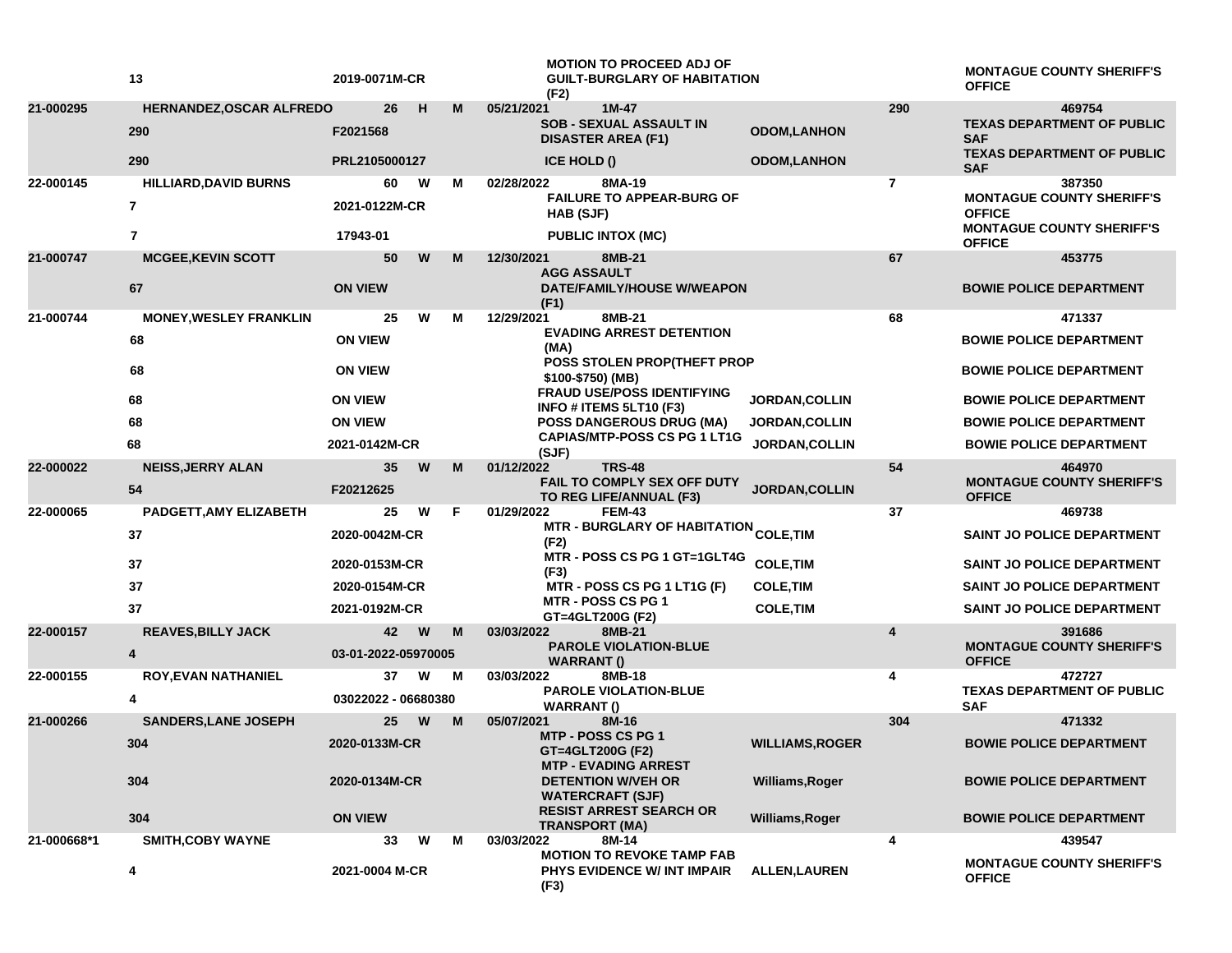|             | 13                                             | 2019-0071M-CR       |   |    | <b>MOTION TO PROCEED ADJ OF</b><br><b>GUILT-BURGLARY OF HABITATION</b><br>(F2)        |                        |                | <b>MONTAGUE COUNTY SHERIFF'S</b><br><b>OFFICE</b>           |
|-------------|------------------------------------------------|---------------------|---|----|---------------------------------------------------------------------------------------|------------------------|----------------|-------------------------------------------------------------|
| 21-000295   | HERNANDEZ, OSCAR ALFREDO<br>290                | 26<br>F2021568      | н | M  | 05/21/2021<br>$1M-47$<br><b>SOB - SEXUAL ASSAULT IN</b><br><b>DISASTER AREA (F1)</b>  | <b>ODOM,LANHON</b>     | 290            | 469754<br><b>TEXAS DEPARTMENT OF PUBLIC</b><br><b>SAF</b>   |
|             | 290                                            | PRL2105000127       |   |    | <b>ICE HOLD ()</b>                                                                    | <b>ODOM,LANHON</b>     |                | <b>TEXAS DEPARTMENT OF PUBLIC</b><br><b>SAF</b>             |
| 22-000145   | <b>HILLIARD, DAVID BURNS</b><br>$\overline{7}$ | 60<br>2021-0122M-CR | W | м  | 02/28/2022<br>8MA-19<br><b>FAILURE TO APPEAR-BURG OF</b><br>HAB (SJF)                 |                        | $\overline{7}$ | 387350<br><b>MONTAGUE COUNTY SHERIFF'S</b><br><b>OFFICE</b> |
|             | $\overline{7}$                                 | 17943-01            |   |    | <b>PUBLIC INTOX (MC)</b>                                                              |                        |                | <b>MONTAGUE COUNTY SHERIFF'S</b><br><b>OFFICE</b>           |
| 21-000747   | <b>MCGEE, KEVIN SCOTT</b>                      | 50                  | W | M  | 12/30/2021<br>8MB-21<br><b>AGG ASSAULT</b>                                            |                        | 67             | 453775                                                      |
|             | 67                                             | <b>ON VIEW</b>      |   |    | DATE/FAMILY/HOUSE W/WEAPON<br>(F1)                                                    |                        |                | <b>BOWIE POLICE DEPARTMENT</b>                              |
| 21-000744   | <b>MONEY, WESLEY FRANKLIN</b>                  | 25                  | W | м  | 8MB-21<br>12/29/2021<br><b>EVADING ARREST DETENTION</b>                               |                        | 68             | 471337                                                      |
|             | 68                                             | <b>ON VIEW</b>      |   |    | (MA)                                                                                  |                        |                | <b>BOWIE POLICE DEPARTMENT</b>                              |
|             | 68                                             | <b>ON VIEW</b>      |   |    | POSS STOLEN PROP(THEFT PROP<br>\$100-\$750) (MB)                                      |                        |                | <b>BOWIE POLICE DEPARTMENT</b>                              |
|             | 68                                             | <b>ON VIEW</b>      |   |    | <b>FRAUD USE/POSS IDENTIFYING</b><br>INFO # ITEMS 5LT10 (F3)                          | JORDAN, COLLIN         |                | <b>BOWIE POLICE DEPARTMENT</b>                              |
|             | 68                                             | <b>ON VIEW</b>      |   |    | <b>POSS DANGEROUS DRUG (MA)</b>                                                       | <b>JORDAN, COLLIN</b>  |                | <b>BOWIE POLICE DEPARTMENT</b>                              |
|             | 68                                             | 2021-0142M-CR       |   |    | <b>CAPIAS/MTP-POSS CS PG 1 LT1G</b><br>(SJF)                                          | JORDAN, COLLIN         |                | <b>BOWIE POLICE DEPARTMENT</b>                              |
| 22-000022   | <b>NEISS, JERRY ALAN</b><br>54                 | 35<br>F20212625     | W | M  | <b>TRS-48</b><br>01/12/2022<br>FAIL TO COMPLY SEX OFF DUTY<br>TO REG LIFE/ANNUAL (F3) | JORDAN, COLLIN         | 54             | 464970<br><b>MONTAGUE COUNTY SHERIFF'S</b><br><b>OFFICE</b> |
| 22-000065   | PADGETT, AMY ELIZABETH                         | 25                  | W | F. | 01/29/2022<br><b>FEM-43</b>                                                           |                        | 37             | 469738                                                      |
|             | 37                                             | 2020-0042M-CR       |   |    | MTR - BURGLARY OF HABITATION <sub>COLE,</sub> TIM<br>(F2)                             |                        |                | SAINT JO POLICE DEPARTMENT                                  |
|             | 37                                             | 2020-0153M-CR       |   |    | MTR - POSS CS PG 1 GT=1GLT4G<br>(F3)                                                  | <b>COLE, TIM</b>       |                | SAINT JO POLICE DEPARTMENT                                  |
|             | 37                                             | 2020-0154M-CR       |   |    | MTR - POSS CS PG 1 LT1G (F)                                                           | <b>COLE, TIM</b>       |                | SAINT JO POLICE DEPARTMENT                                  |
|             | 37                                             | 2021-0192M-CR       |   |    | <b>MTR - POSS CS PG 1</b><br>GT=4GLT200G (F2)                                         | <b>COLE, TIM</b>       |                | <b>SAINT JO POLICE DEPARTMENT</b>                           |
| 22-000157   | <b>REAVES, BILLY JACK</b>                      | 42                  | W | M  | 03/03/2022<br>8MB-21                                                                  |                        | 4              | 391686                                                      |
|             | 4                                              | 03-01-2022-05970005 |   |    | <b>PAROLE VIOLATION-BLUE</b><br><b>WARRANT()</b>                                      |                        |                | <b>MONTAGUE COUNTY SHERIFF'S</b><br><b>OFFICE</b>           |
| 22-000155   | <b>ROY, EVAN NATHANIEL</b>                     | 37                  | W | М  | 03/03/2022<br>8MB-18                                                                  |                        | 4              | 472727<br><b>TEXAS DEPARTMENT OF PUBLIC</b>                 |
|             | 4                                              | 03022022 - 06680380 |   |    | <b>PAROLE VIOLATION-BLUE</b><br><b>WARRANT()</b>                                      |                        |                | <b>SAF</b>                                                  |
| 21-000266   | <b>SANDERS, LANE JOSEPH</b>                    | 25                  | W | M  | 05/07/2021<br>8M-16<br><b>MTP - POSS CS PG 1</b>                                      |                        | 304            | 471332                                                      |
|             | 304                                            | 2020-0133M-CR       |   |    | GT=4GLT200G (F2)                                                                      | <b>WILLIAMS, ROGER</b> |                | <b>BOWIE POLICE DEPARTMENT</b>                              |
|             | 304                                            | 2020-0134M-CR       |   |    | <b>MTP - EVADING ARREST</b><br><b>DETENTION W/VEH OR</b><br><b>WATERCRAFT (SJF)</b>   | Williams, Roger        |                | <b>BOWIE POLICE DEPARTMENT</b>                              |
|             | 304                                            | <b>ON VIEW</b>      |   |    | <b>RESIST ARREST SEARCH OR</b><br><b>TRANSPORT (MA)</b>                               | Williams, Roger        |                | <b>BOWIE POLICE DEPARTMENT</b>                              |
| 21-000668*1 | <b>SMITH, COBY WAYNE</b>                       | 33                  | W | М  | 8M-14<br>03/03/2022                                                                   |                        | 4              | 439547                                                      |
|             | 4                                              | 2021-0004 M-CR      |   |    | <b>MOTION TO REVOKE TAMP FAB</b><br>PHYS EVIDENCE W/ INT IMPAIR<br>(F3)               | <b>ALLEN, LAUREN</b>   |                | <b>MONTAGUE COUNTY SHERIFF'S</b><br><b>OFFICE</b>           |